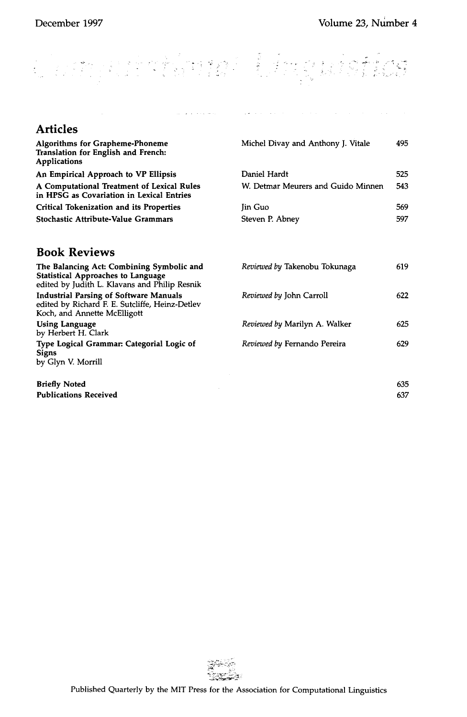629

#### $\frac{1}{2}$ ofinda  $\hat{t} = t$

وبالمتعاطف الأوالي

**Sandy College** 

**Articles Algorithms for Grapheme-Phoneme Translation for English and French: Applications An Empirical Approach to VP Ellipsis A Computational Treatment of Lexical Rules in HPSG as Covariation in Lexical Entries Critical Tokenization and its Properties Stochastic Attribute-Value Grammars**  Michel Divay and Anthony J. Vitale 495 Daniel Hardt 525 W. Detmar Meurers and Guido Minnen 543 Jin Guo 569 Steven P. Abney 597 **Book Reviews The Balancing Act: Combining Symbolic and Statistical Approaches to Language**  edited by Judith L. Klavans and Philip Resnik **Industrial Parsing of Software Manuals**  edited by Richard F. E. Sutcliffe, Heinz-Detlev Koch, and Annette McElligott **Using Language**  *Reviewed by* Takenobu Tokunaga *Reviewed by* John Carroll *Reviewed by* Marilyn A. Walker 619 622 625

*Reviewed by* Femando Pereira

by Herbert H. Clark **Type Logical Grammar:. Categorial Logic** of **Signs**  by Glyn V. Morrill

**Briefly Noted** 635 **Publications Received** 637

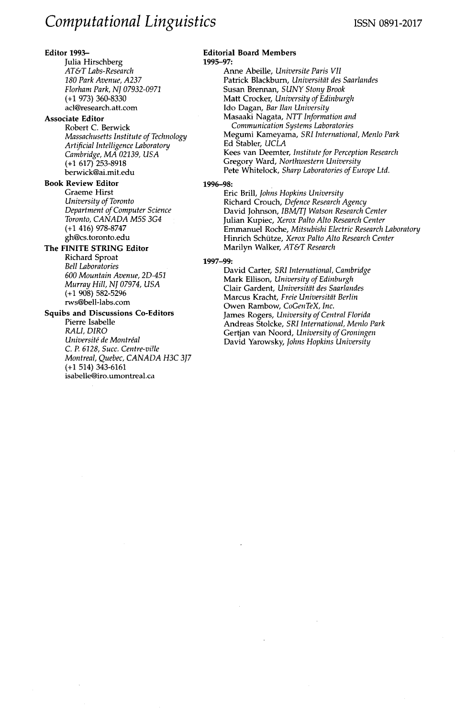# **Editor** 1993--

Julia Hirschberg *AT&T Labs-Research 180 Park Avenue, A237 Florham Park, NJ 07932-0971* (+1 973) 360-8330 acl@research.att.com

# **Associate Editor**

Robert C. Berwick *Massachusetts Institute of Technology Artificial Intelligence Laboratory Cambridge, MA 02139, USA*  (+1 617) 253-8918 berwick@ai.mit.edu

### **Book Review Editor**

Graeme Hirst *University of Toronto Department of Computer Science Toronto, CANADA M5S 3G4*  (+1 416) 978-8747 gh@cs.toronto.edu

# **The FINITE STRING Editor**

Richard Sproat *Bell Laboratories 600 Mountain Avenue, 2D-451 Murray Hill, NJ 07974, USA*  (+1 908) 582-5296 rws@bell-labs.com

#### **Squibs and Discussions Co-Editors**  Pierre Isabelle

*RALI, DIRO Université de Montréal C. P. 6128, Succ. Centre-vitle Montreal, Quebec, CANADA H3C 3J7*  (+1 514) 343-6161 isabelle@iro.umontreal.ca

#### **Editorial Board Members**  1995-97:

Anne Abeille, *Universite Paris VII*  Patrick Blackburn, *Universität des Saarlandes* Susan Brennan, *SUNY Stony Brook*  Matt Crocker, *University of Edinburgh*  Ido Dagan, *Bar Ilan University*  Masaaki Nagata, *NTT Information and Communication Systems Laboratories*  Megumi Kameyama, *SRI International, Menlo Park*  Ed Stabler, *UCLA*  Kees van Deemter, *Institute for Perception Research*  Gregory Ward, *Northwestern University*  Pete Whitelock, *Sharp Laboratories of Europe Ltd.* 

#### 1996-98:

Eric Brill, *Johns Hopkins University*  Richard Crouch, *Defence Research Agency*  David Johnson, *IBM/TJ Watson Research Center*  Julian Kupiec, *Xerox Palto Alto Research Center*  Emmanuel Roche, *Mitsubishi Electric Research Laboratory*  Hinrich Sch~tze, *Xerox Palto Alto Research Center*  Marilyn Walker, *AT&T Research* 

#### 1997-99:

David Carter, *SRI International, Cambridge*  Mark Ellison, *University of Edinburgh*  Clair Gardent, *Universit?it des Saarlandes*  Marcus Kracht, *Freie Universitfit Berlin*  Owen Rambow, *CoGenTeX, Inc.*  James Rogers, *University of Central Florida*  Andreas Stolcke, *SRI International, Menlo Park*  Gertjan van Noord, *University of Groningen*  David Yarowsky, *Johns Hopkins University*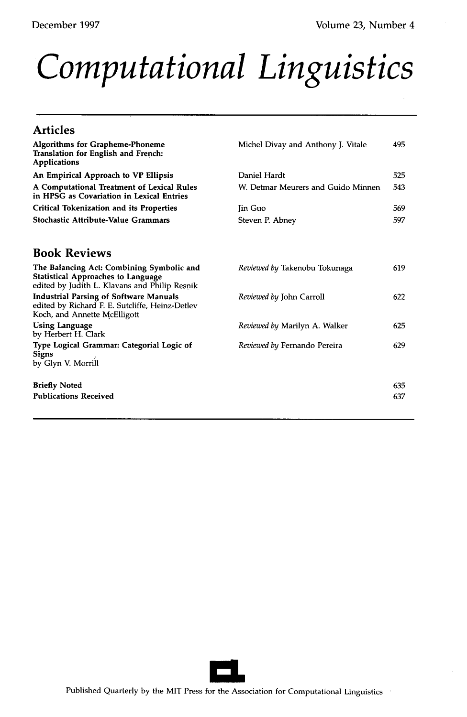# *Computational Linguistics*

# **Articles**

| <b>Algorithms for Grapheme-Phoneme</b><br>Translation for English and French:<br><b>Applications</b>                                    | Michel Divay and Anthony J. Vitale | 495        |
|-----------------------------------------------------------------------------------------------------------------------------------------|------------------------------------|------------|
| An Empirical Approach to VP Ellipsis                                                                                                    | Daniel Hardt                       | 525        |
| A Computational Treatment of Lexical Rules<br>in HPSG as Covariation in Lexical Entries                                                 | W. Detmar Meurers and Guido Minnen | 543        |
| <b>Critical Tokenization and its Properties</b>                                                                                         | <b>I</b> in Guo                    | 569        |
| Stochastic Attribute-Value Grammars                                                                                                     | Steven P. Abney                    | 597        |
| <b>Book Reviews</b>                                                                                                                     |                                    |            |
| The Balancing Act: Combining Symbolic and<br><b>Statistical Approaches to Language</b><br>edited by Judith L. Klavans and Philip Resnik | Reviewed by Takenobu Tokunaga      | 619        |
| <b>Industrial Parsing of Software Manuals</b><br>edited by Richard F. E. Sutcliffe, Heinz-Detlev<br>Koch, and Annette McElligott        | Reviewed by John Carroll           | 622        |
| <b>Using Language</b><br>by Herbert H. Clark                                                                                            | Reviewed by Marilyn A. Walker      | 625        |
| Type Logical Grammar: Categorial Logic of<br><b>Signs</b><br>by Glyn V. Morrill                                                         | Reviewed by Fernando Pereira       | 629        |
| <b>Briefly Noted</b><br><b>Publications Received</b>                                                                                    |                                    | 635<br>637 |
|                                                                                                                                         |                                    |            |